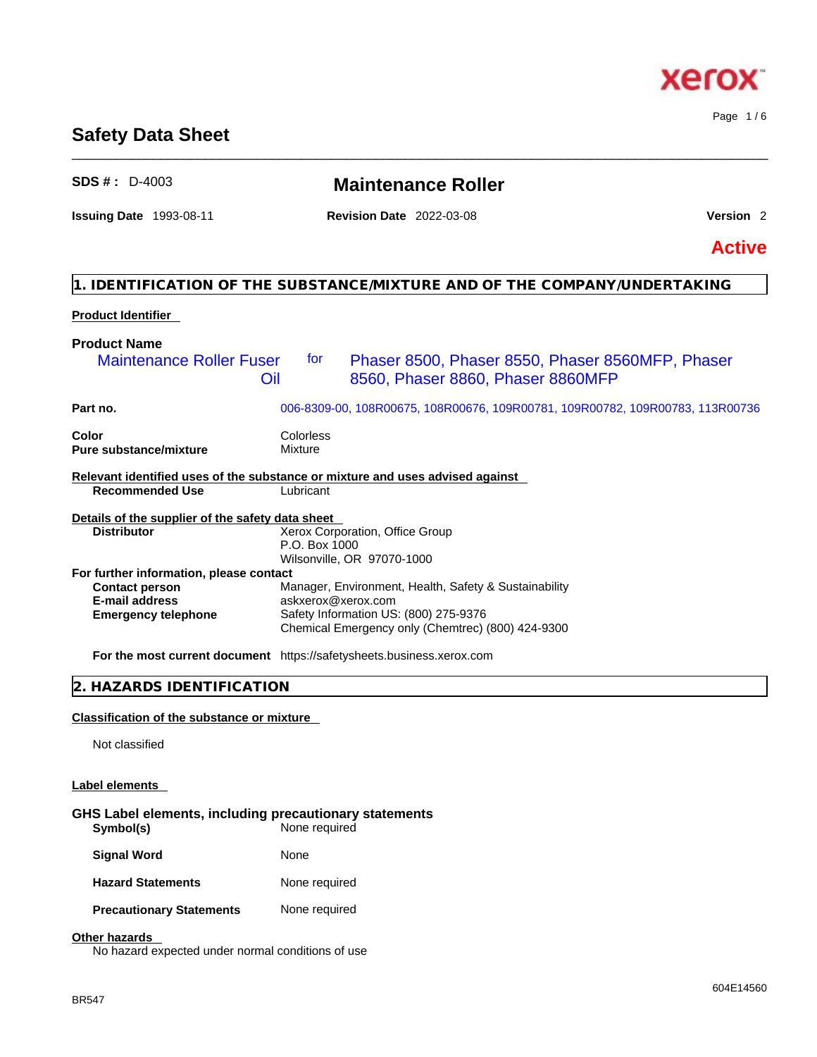### **Safety Data Sheet**

### **SDS # :** D-4003 **Maintenance Roller**

\_\_\_\_\_\_\_\_\_\_\_\_\_\_\_\_\_\_\_\_\_\_\_\_\_\_\_\_\_\_\_\_\_\_\_\_\_\_\_\_\_\_\_\_\_\_\_\_\_\_\_\_\_\_\_\_\_\_\_\_\_\_\_\_\_\_\_\_\_\_\_\_\_\_\_\_\_\_\_\_\_\_\_\_\_\_\_\_\_\_\_\_\_\_

### **Issuing Date** 1993-08-11 **Revision Date** 2022-03-08 **Version** 2

Page 1 / 6

**Active**

### **1. IDENTIFICATION OF THE SUBSTANCE/MIXTURE AND OF THE COMPANY/UNDERTAKING**

### **Product Identifier**

| <b>Product Name</b>                                                                                     |                                                                                                                                                                           |                                                                                       |  |
|---------------------------------------------------------------------------------------------------------|---------------------------------------------------------------------------------------------------------------------------------------------------------------------------|---------------------------------------------------------------------------------------|--|
| <b>Maintenance Roller Fuser</b><br>Oil                                                                  | tor                                                                                                                                                                       | Phaser 8500, Phaser 8550, Phaser 8560MFP, Phaser<br>8560, Phaser 8860, Phaser 8860MFP |  |
| Part no.                                                                                                | 006-8309-00, 108R00675, 108R00676, 109R00781, 109R00782, 109R00783, 113R00736                                                                                             |                                                                                       |  |
| Color<br><b>Pure substance/mixture</b>                                                                  | Colorless<br>Mixture                                                                                                                                                      |                                                                                       |  |
| Relevant identified uses of the substance or mixture and uses advised against<br><b>Recommended Use</b> | Lubricant                                                                                                                                                                 |                                                                                       |  |
| Details of the supplier of the safety data sheet                                                        |                                                                                                                                                                           |                                                                                       |  |
| <b>Distributor</b>                                                                                      | Xerox Corporation, Office Group<br>P.O. Box 1000<br>Wilsonville, OR 97070-1000                                                                                            |                                                                                       |  |
| For further information, please contact                                                                 |                                                                                                                                                                           |                                                                                       |  |
| <b>Contact person</b><br><b>E-mail address</b><br><b>Emergency telephone</b>                            | Manager, Environment, Health, Safety & Sustainability<br>askxerox@xerox.com<br>Safety Information US: (800) 275-9376<br>Chemical Emergency only (Chemtrec) (800) 424-9300 |                                                                                       |  |
|                                                                                                         | For the most current document https://safetysheets.business.xerox.com                                                                                                     |                                                                                       |  |
| 2. HAZARDS IDENTIFICATION                                                                               |                                                                                                                                                                           |                                                                                       |  |

### **Classification of the substance or mixture**

Not classified

### **Label elements**

### **GHS Label elements, including precautionary statements Symbol(s)** None required

| <b>Signal Word</b>              | None          |
|---------------------------------|---------------|
| <b>Hazard Statements</b>        | None required |
| <b>Precautionary Statements</b> | None required |

### **Other hazards**

No hazard expected under normal conditions of use

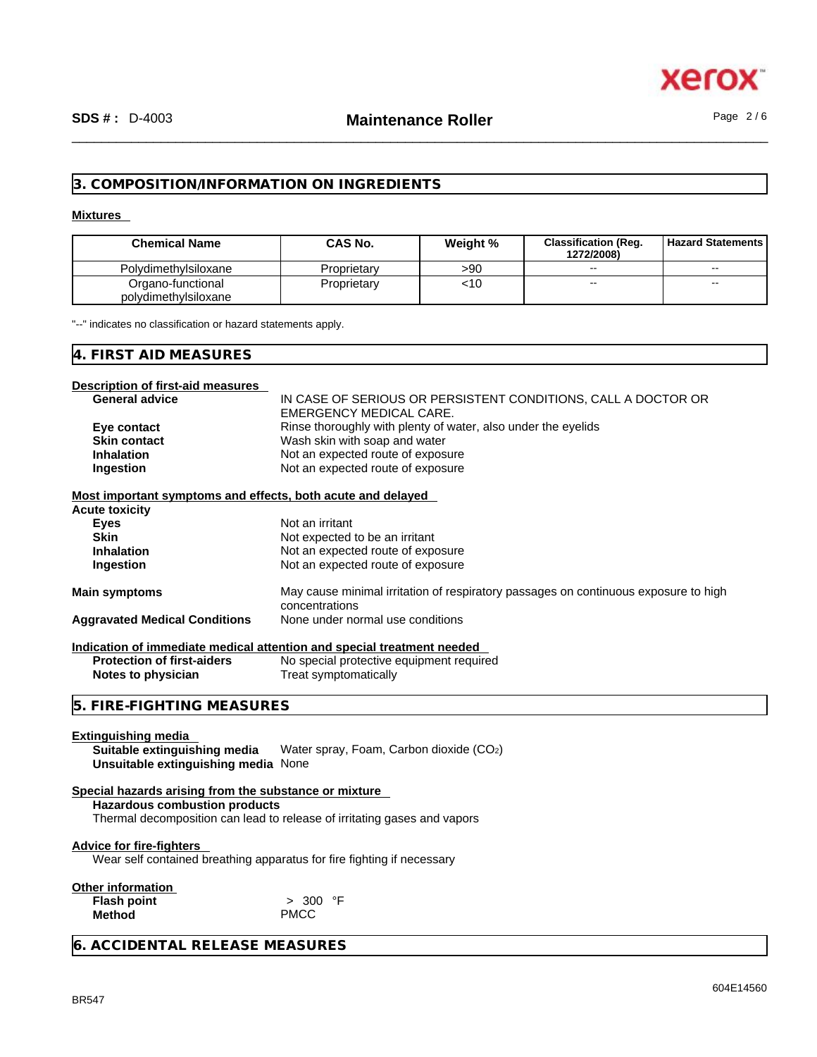

### **3. COMPOSITION/INFORMATION ON INGREDIENTS**

### **Mixtures**

| <b>Chemical Name</b>                      | CAS No.     | Weight % | <b>Classification (Reg.</b><br>1272/2008) | <b>Hazard Statements</b> |
|-------------------------------------------|-------------|----------|-------------------------------------------|--------------------------|
| Polydimethylsiloxane                      | Proprietary | >90      | $- -$                                     | --                       |
| Organo-functional<br>polydimethylsiloxane | Proprietary | <10      | --                                        | --                       |

"--" indicates no classification or hazard statements apply.

### **4. FIRST AID MEASURES**

### **Description of first-aid measures**

| Description of first-aid measures                                                             |                                                                                                       |  |  |
|-----------------------------------------------------------------------------------------------|-------------------------------------------------------------------------------------------------------|--|--|
| <b>General advice</b>                                                                         | IN CASE OF SERIOUS OR PERSISTENT CONDITIONS, CALL A DOCTOR OR                                         |  |  |
|                                                                                               | <b>EMERGENCY MEDICAL CARE.</b>                                                                        |  |  |
| Eye contact                                                                                   | Rinse thoroughly with plenty of water, also under the eyelids                                         |  |  |
| <b>Skin contact</b>                                                                           | Wash skin with soap and water                                                                         |  |  |
| <b>Inhalation</b>                                                                             | Not an expected route of exposure                                                                     |  |  |
| Ingestion                                                                                     | Not an expected route of exposure                                                                     |  |  |
| Most important symptoms and effects, both acute and delayed                                   |                                                                                                       |  |  |
| <b>Acute toxicity</b>                                                                         |                                                                                                       |  |  |
| Eyes                                                                                          | Not an irritant                                                                                       |  |  |
| <b>Skin</b>                                                                                   | Not expected to be an irritant                                                                        |  |  |
| <b>Inhalation</b>                                                                             | Not an expected route of exposure                                                                     |  |  |
| Ingestion                                                                                     | Not an expected route of exposure                                                                     |  |  |
| <b>Main symptoms</b>                                                                          | May cause minimal irritation of respiratory passages on continuous exposure to high<br>concentrations |  |  |
| <b>Aggravated Medical Conditions</b>                                                          | None under normal use conditions                                                                      |  |  |
|                                                                                               |                                                                                                       |  |  |
|                                                                                               | Indication of immediate medical attention and special treatment needed                                |  |  |
| <b>Protection of first-aiders</b>                                                             | No special protective equipment required                                                              |  |  |
| Notes to physician                                                                            | Treat symptomatically                                                                                 |  |  |
| 5. FIRE-FIGHTING MEASURES                                                                     |                                                                                                       |  |  |
|                                                                                               |                                                                                                       |  |  |
| <b>Extinguishing media</b>                                                                    |                                                                                                       |  |  |
| Suitable extinguishing media                                                                  | Water spray, Foam, Carbon dioxide (CO2)                                                               |  |  |
| Unsuitable extinguishing media None                                                           |                                                                                                       |  |  |
|                                                                                               |                                                                                                       |  |  |
| Special hazards arising from the substance or mixture<br><b>Hazardous combustion products</b> |                                                                                                       |  |  |
|                                                                                               | Thermal decomposition can lead to release of irritating gases and vapors                              |  |  |
|                                                                                               |                                                                                                       |  |  |
| <b>Advice for fire-fighters</b>                                                               |                                                                                                       |  |  |
| Wear self contained breathing apparatus for fire fighting if necessary                        |                                                                                                       |  |  |
|                                                                                               |                                                                                                       |  |  |
| Other information                                                                             |                                                                                                       |  |  |
| <b>Flash point</b>                                                                            | > 300 °F                                                                                              |  |  |
| <b>Method</b>                                                                                 | <b>PMCC</b>                                                                                           |  |  |
|                                                                                               |                                                                                                       |  |  |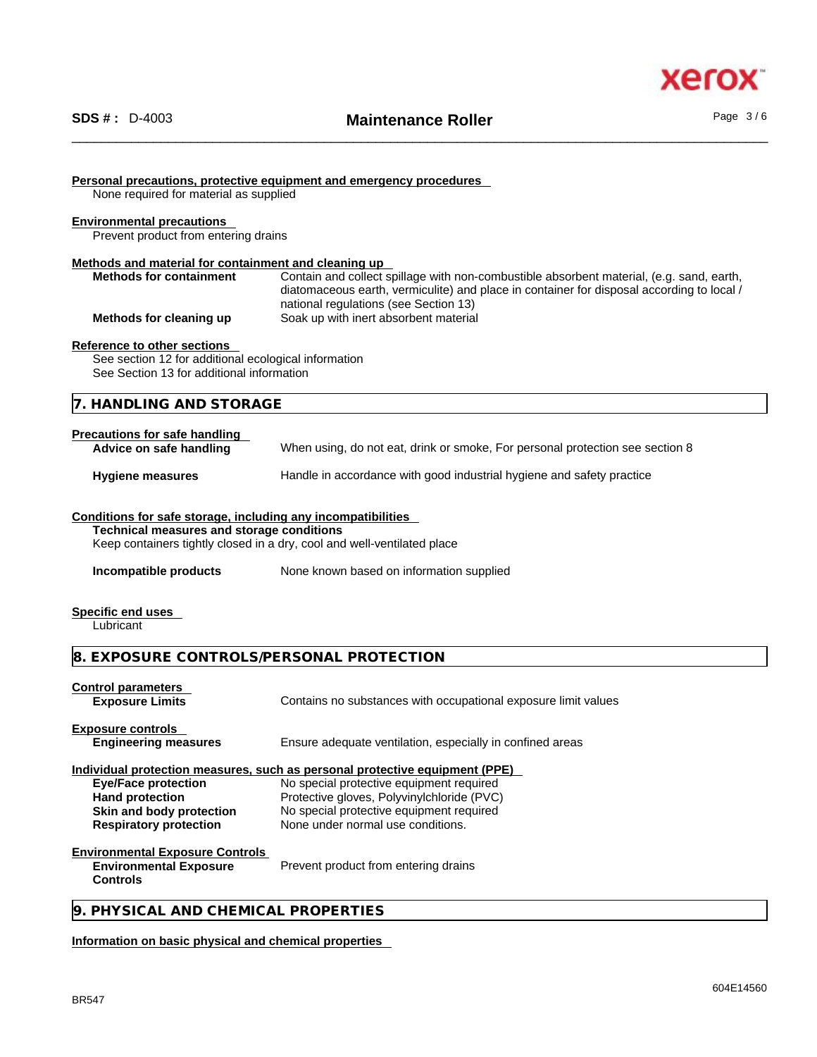



### **Personal precautions, protective equipment and emergency procedures**

None required for material as supplied

#### **Environmental precautions**

Prevent product from entering drains

### **Methods and material for containment and cleaning up**

| <b>Methods for containment</b> | Contain and collect spillage with non-combustible absorbent material, (e.g. sand, earth,  |  |  |
|--------------------------------|-------------------------------------------------------------------------------------------|--|--|
|                                | diatomaceous earth, vermiculite) and place in container for disposal according to local / |  |  |
|                                | national regulations (see Section 13)                                                     |  |  |
| Methods for cleaning up        | Soak up with inert absorbent material                                                     |  |  |

### **Reference to other sections**

See section 12 for additional ecological information See Section 13 for additional information

### **7. HANDLING AND STORAGE**

| Precautions for safe handling<br>Advice on safe handling | When using, do not eat, drink or smoke, For personal protection see section 8 |
|----------------------------------------------------------|-------------------------------------------------------------------------------|
| <b>Hygiene measures</b>                                  | Handle in accordance with good industrial hygiene and safety practice         |

### **Conditions for safe storage, including any incompatibilities**

**Technical measures and storage conditions**

Keep containers tightly closed in a dry, cool and well-ventilated place

**Incompatible products** None known based on information supplied

#### **Specific end uses**

Lubricant

### **8. EXPOSURE CONTROLS/PERSONAL PROTECTION**

### **Control parameters**

**Exposure Limits** Contains no substances with occupational exposure limit values

### **Exposure controls**

**Engineering measures** Ensure adequate ventilation, especially in confined areas

### **Individual protection measures, such as personal protective equipment (PPE)**

**Eye/Face protection** No special protective equipment required Hand protection **Protective gloves, Polyvinylchloride (PVC) Skin and body protection** No special protective equipment required **Respiratory protection** None under normal use conditions.

### **Environmental Exposure Controls**

**Environmental Exposure Controls**  Prevent product from entering drains

### **9. PHYSICAL AND CHEMICAL PROPERTIES**

### **Information on basic physical and chemical properties**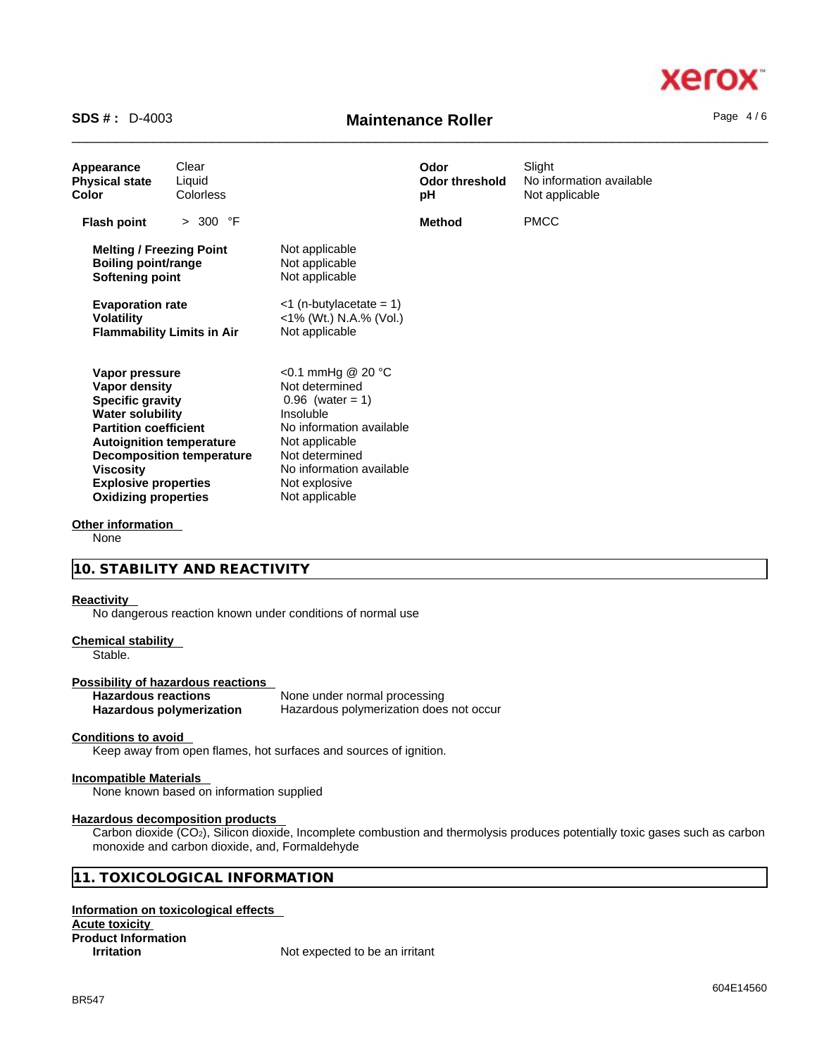# xerc

# \_\_\_\_\_\_\_\_\_\_\_\_\_\_\_\_\_\_\_\_\_\_\_\_\_\_\_\_\_\_\_\_\_\_\_\_\_\_\_\_\_\_\_\_\_\_\_\_\_\_\_\_\_\_\_\_\_\_\_\_\_\_\_\_\_\_\_\_\_\_\_\_\_\_\_\_\_\_\_\_\_\_\_\_\_\_\_\_\_\_\_\_\_\_ **SDS # :** D-4003 **Maintenance Roller** Page 4 / 6

| Appearance<br><b>Physical state</b><br>Color                                                                                                                                                                                                                           | Clear<br>Liquid<br>Colorless     |                                                                                                                                                                                                       | Odor<br><b>Odor threshold</b><br>рH | Slight<br>No information available<br>Not applicable |
|------------------------------------------------------------------------------------------------------------------------------------------------------------------------------------------------------------------------------------------------------------------------|----------------------------------|-------------------------------------------------------------------------------------------------------------------------------------------------------------------------------------------------------|-------------------------------------|------------------------------------------------------|
| <b>Flash point</b>                                                                                                                                                                                                                                                     | > 300 °F                         |                                                                                                                                                                                                       | <b>Method</b>                       | <b>PMCC</b>                                          |
| <b>Melting / Freezing Point</b><br><b>Boiling point/range</b><br>Softening point<br><b>Evaporation rate</b>                                                                                                                                                            |                                  | Not applicable<br>Not applicable<br>Not applicable<br>$<$ 1 (n-butylacetate = 1)                                                                                                                      |                                     |                                                      |
| <b>Volatility</b><br><b>Flammability Limits in Air</b>                                                                                                                                                                                                                 |                                  | <1% (Wt.) N.A.% (Vol.)<br>Not applicable                                                                                                                                                              |                                     |                                                      |
| Vapor pressure<br><b>Vapor density</b><br><b>Specific gravity</b><br><b>Water solubility</b><br><b>Partition coefficient</b><br><b>Autoignition temperature</b><br><b>Viscosity</b><br><b>Explosive properties</b><br><b>Oxidizing properties</b><br>Other information | <b>Decomposition temperature</b> | <0.1 mmHg @ 20 °C<br>Not determined<br>$0.96$ (water = 1)<br>Insoluble<br>No information available<br>Not applicable<br>Not determined<br>No information available<br>Not explosive<br>Not applicable |                                     |                                                      |

None

### **10. STABILITY AND REACTIVITY**

### **Reactivity**

No dangerous reaction known under conditions of normal use

### **Chemical stability**

Stable.

## **Possibility of hazardous reactions**

**Hazardous reactions**<br> **Hazardous polymerization**<br>
Hazardous polymerization<br>
Hazardous polymerization **Hazardous polymerization does not occur** 

### **Conditions to avoid**

Keep away from open flames, hot surfaces and sources of ignition.

### **Incompatible Materials**

None known based on information supplied

#### **Hazardous decomposition products**

Carbon dioxide (CO<sub>2</sub>), Silicon dioxide, Incomplete combustion and thermolysis produces potentially toxic gases such as carbon monoxide and carbon dioxide, and, Formaldehyde

### **11. TOXICOLOGICAL INFORMATION**

### **Information on toxicological effects Acute toxicity Product Information**

**Irritation** Not expected to be an irritant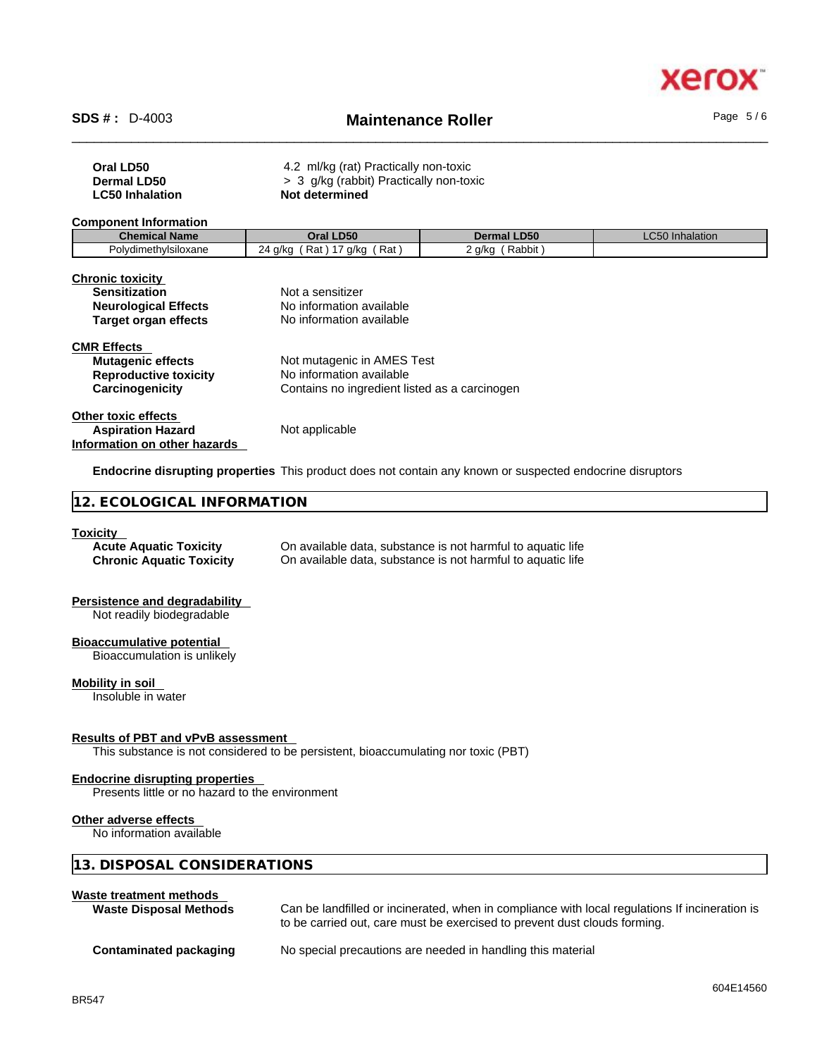

# \_\_\_\_\_\_\_\_\_\_\_\_\_\_\_\_\_\_\_\_\_\_\_\_\_\_\_\_\_\_\_\_\_\_\_\_\_\_\_\_\_\_\_\_\_\_\_\_\_\_\_\_\_\_\_\_\_\_\_\_\_\_\_\_\_\_\_\_\_\_\_\_\_\_\_\_\_\_\_\_\_\_\_\_\_\_\_\_\_\_\_\_\_\_ **SDS # :** D-4003 **Maintenance Roller** Page 5 / 6

| Oral LD50<br><b>Dermal LD50</b><br><b>LC50 Inhalation</b>                                                                                                                                                         | 4.2 ml/kg (rat) Practically non-toxic<br>> 3 g/kg (rabbit) Practically non-toxic<br>Not determined        |                    |                 |  |
|-------------------------------------------------------------------------------------------------------------------------------------------------------------------------------------------------------------------|-----------------------------------------------------------------------------------------------------------|--------------------|-----------------|--|
| <b>Component Information</b>                                                                                                                                                                                      |                                                                                                           |                    |                 |  |
| <b>Chemical Name</b>                                                                                                                                                                                              | Oral LD50                                                                                                 | <b>Dermal LD50</b> | LC50 Inhalation |  |
| Polydimethylsiloxane                                                                                                                                                                                              | 24 g/kg (Rat) 17 g/kg (Rat)                                                                               | 2 g/kg (Rabbit)    |                 |  |
| <b>Chronic toxicity</b><br><b>Sensitization</b><br><b>Neurological Effects</b><br><b>Target organ effects</b>                                                                                                     | Not a sensitizer<br>No information available<br>No information available                                  |                    |                 |  |
| <b>CMR Effects</b><br><b>Mutagenic effects</b><br><b>Reproductive toxicity</b><br>Carcinogenicity                                                                                                                 | Not mutagenic in AMES Test<br>No information available<br>Contains no ingredient listed as a carcinogen   |                    |                 |  |
| <b>Other toxic effects</b><br><b>Aspiration Hazard</b><br>Information on other hazards                                                                                                                            | Not applicable                                                                                            |                    |                 |  |
|                                                                                                                                                                                                                   | Endocrine disrupting properties This product does not contain any known or suspected endocrine disruptors |                    |                 |  |
| 12. ECOLOGICAL INFORMATION                                                                                                                                                                                        |                                                                                                           |                    |                 |  |
| <b>Toxicity</b><br><b>Acute Aquatic Toxicity</b><br>On available data, substance is not harmful to aquatic life<br>On available data, substance is not harmful to aquatic life<br><b>Chronic Aquatic Toxicity</b> |                                                                                                           |                    |                 |  |
| <b>Persistence and degradability</b><br>Not readily biodegradable                                                                                                                                                 |                                                                                                           |                    |                 |  |
| <b>Bioaccumulative potential</b><br>Bioaccumulation is unlikely                                                                                                                                                   |                                                                                                           |                    |                 |  |
| <b>Mobility in soil</b><br>Insoluble in water                                                                                                                                                                     |                                                                                                           |                    |                 |  |
| <b>Results of PBT and vPvB assessment</b>                                                                                                                                                                         | This substance is not considered to be persistent, bioaccumulating nor toxic (PBT)                        |                    |                 |  |
| <b>Endocrine disrupting properties</b><br>Presents little or no hazard to the environment                                                                                                                         |                                                                                                           |                    |                 |  |
| Other adverse effects<br>No information available                                                                                                                                                                 |                                                                                                           |                    |                 |  |
| 13. DISPOSAL CONSIDERATIONS                                                                                                                                                                                       |                                                                                                           |                    |                 |  |

### **Waste treatment methods**

| <b>Waste Disposal Methods</b> | Can be landfilled or incinerated, when in compliance with local regulations If incineration is<br>to be carried out, care must be exercised to prevent dust clouds forming. |
|-------------------------------|-----------------------------------------------------------------------------------------------------------------------------------------------------------------------------|
| Contaminated packaging        | No special precautions are needed in handling this material                                                                                                                 |